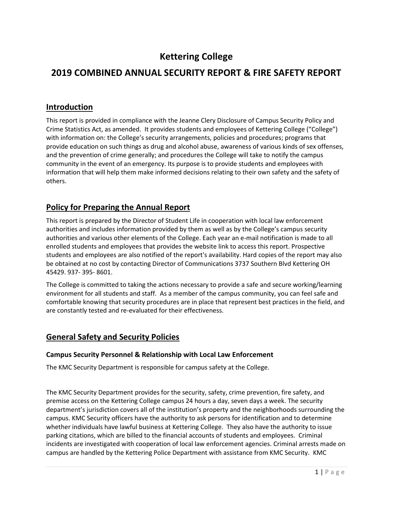# **Kettering College**

# **2019 COMBINED ANNUAL SECURITY REPORT & FIRE SAFETY REPORT**

## **Introduction**

This report is provided in compliance with the Jeanne Clery Disclosure of Campus Security Policy and Crime Statistics Act, as amended. It provides students and employees of Kettering College ("College") with information on: the College's security arrangements, policies and procedures; programs that provide education on such things as drug and alcohol abuse, awareness of various kinds of sex offenses, and the prevention of crime generally; and procedures the College will take to notify the campus community in the event of an emergency. Its purpose is to provide students and employees with information that will help them make informed decisions relating to their own safety and the safety of others.

## **Policy for Preparing the Annual Report**

This report is prepared by the Director of Student Life in cooperation with local law enforcement authorities and includes information provided by them as well as by the College's campus security authorities and various other elements of the College. Each year an e-mail notification is made to all enrolled students and employees that provides the website link to access this report. Prospective students and employees are also notified of the report's availability. Hard copies of the report may also be obtained at no cost by contacting Director of Communications 3737 Southern Blvd Kettering OH 45429. 937- 395- 8601.

The College is committed to taking the actions necessary to provide a safe and secure working/learning environment for all students and staff. As a member of the campus community, you can feel safe and comfortable knowing that security procedures are in place that represent best practices in the field, and are constantly tested and re-evaluated for their effectiveness.

## **General Safety and Security Policies**

## **Campus Security Personnel & Relationship with Local Law Enforcement**

The KMC Security Department is responsible for campus safety at the College.

The KMC Security Department provides for the security, safety, crime prevention, fire safety, and premise access on the Kettering College campus 24 hours a day, seven days a week. The security department's jurisdiction covers all of the institution's property and the neighborhoods surrounding the campus. KMC Security officers have the authority to ask persons for identification and to determine whether individuals have lawful business at Kettering College. They also have the authority to issue parking citations, which are billed to the financial accounts of students and employees. Criminal incidents are investigated with cooperation of local law enforcement agencies. Criminal arrests made on campus are handled by the Kettering Police Department with assistance from KMC Security. KMC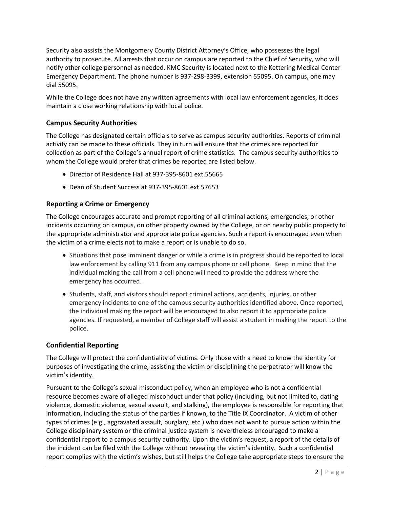Security also assists the Montgomery County District Attorney's Office, who possesses the legal authority to prosecute. All arrests that occur on campus are reported to the Chief of Security, who will notify other college personnel as needed. KMC Security is located next to the Kettering Medical Center Emergency Department. The phone number is 937-298-3399, extension 55095. On campus, one may dial 55095.

While the College does not have any written agreements with local law enforcement agencies, it does maintain a close working relationship with local police.

## **Campus Security Authorities**

The College has designated certain officials to serve as campus security authorities. Reports of criminal activity can be made to these officials. They in turn will ensure that the crimes are reported for collection as part of the College's annual report of crime statistics. The campus security authorities to whom the College would prefer that crimes be reported are listed below.

- Director of Residence Hall at 937-395-8601 ext.55665
- Dean of Student Success at 937-395-8601 ext.57653

## **Reporting a Crime or Emergency**

The College encourages accurate and prompt reporting of all criminal actions, emergencies, or other incidents occurring on campus, on other property owned by the College, or on nearby public property to the appropriate administrator and appropriate police agencies. Such a report is encouraged even when the victim of a crime elects not to make a report or is unable to do so.

- Situations that pose imminent danger or while a crime is in progress should be reported to local law enforcement by calling 911 from any campus phone or cell phone. Keep in mind that the individual making the call from a cell phone will need to provide the address where the emergency has occurred.
- Students, staff, and visitors should report criminal actions, accidents, injuries, or other emergency incidents to one of the campus security authorities identified above. Once reported, the individual making the report will be encouraged to also report it to appropriate police agencies. If requested, a member of College staff will assist a student in making the report to the police.

## **Confidential Reporting**

The College will protect the confidentiality of victims. Only those with a need to know the identity for purposes of investigating the crime, assisting the victim or disciplining the perpetrator will know the victim's identity.

Pursuant to the College's sexual misconduct policy, when an employee who is not a confidential resource becomes aware of alleged misconduct under that policy (including, but not limited to, dating violence, domestic violence, sexual assault, and stalking), the employee is responsible for reporting that information, including the status of the parties if known, to the Title IX Coordinator. A victim of other types of crimes (e.g., aggravated assault, burglary, etc.) who does not want to pursue action within the College disciplinary system or the criminal justice system is nevertheless encouraged to make a confidential report to a campus security authority. Upon the victim's request, a report of the details of the incident can be filed with the College without revealing the victim's identity. Such a confidential report complies with the victim's wishes, but still helps the College take appropriate steps to ensure the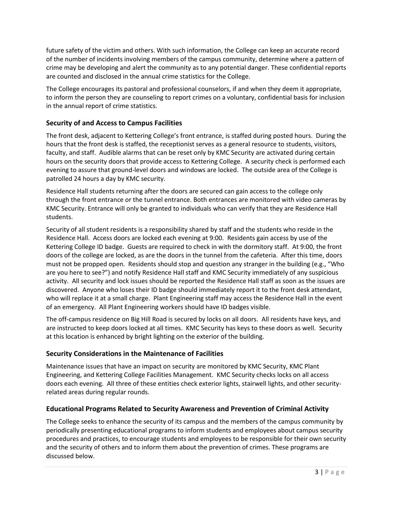future safety of the victim and others. With such information, the College can keep an accurate record of the number of incidents involving members of the campus community, determine where a pattern of crime may be developing and alert the community as to any potential danger. These confidential reports are counted and disclosed in the annual crime statistics for the College.

The College encourages its pastoral and professional counselors, if and when they deem it appropriate, to inform the person they are counseling to report crimes on a voluntary, confidential basis for inclusion in the annual report of crime statistics.

## **Security of and Access to Campus Facilities**

The front desk, adjacent to Kettering College's front entrance, is staffed during posted hours. During the hours that the front desk is staffed, the receptionist serves as a general resource to students, visitors, faculty, and staff. Audible alarms that can be reset only by KMC Security are activated during certain hours on the security doors that provide access to Kettering College. A security check is performed each evening to assure that ground-level doors and windows are locked. The outside area of the College is patrolled 24 hours a day by KMC security.

Residence Hall students returning after the doors are secured can gain access to the college only through the front entrance or the tunnel entrance. Both entrances are monitored with video cameras by KMC Security. Entrance will only be granted to individuals who can verify that they are Residence Hall students.

Security of all student residents is a responsibility shared by staff and the students who reside in the Residence Hall. Access doors are locked each evening at 9:00. Residents gain access by use of the Kettering College ID badge. Guests are required to check in with the dormitory staff. At 9:00, the front doors of the college are locked, as are the doors in the tunnel from the cafeteria. After this time, doors must not be propped open. Residents should stop and question any stranger in the building (e.g., "Who are you here to see?") and notify Residence Hall staff and KMC Security immediately of any suspicious activity. All security and lock issues should be reported the Residence Hall staff as soon as the issues are discovered. Anyone who loses their ID badge should immediately report it to the front desk attendant, who will replace it at a small charge. Plant Engineering staff may access the Residence Hall in the event of an emergency. All Plant Engineering workers should have ID badges visible.

The off-campus residence on Big Hill Road is secured by locks on all doors. All residents have keys, and are instructed to keep doors locked at all times. KMC Security has keys to these doors as well. Security at this location is enhanced by bright lighting on the exterior of the building.

## **Security Considerations in the Maintenance of Facilities**

Maintenance issues that have an impact on security are monitored by KMC Security, KMC Plant Engineering, and Kettering College Facilities Management. KMC Security checks locks on all access doors each evening. All three of these entities check exterior lights, stairwell lights, and other securityrelated areas during regular rounds.

## **Educational Programs Related to Security Awareness and Prevention of Criminal Activity**

The College seeks to enhance the security of its campus and the members of the campus community by periodically presenting educational programs to inform students and employees about campus security procedures and practices, to encourage students and employees to be responsible for their own security and the security of others and to inform them about the prevention of crimes. These programs are discussed below.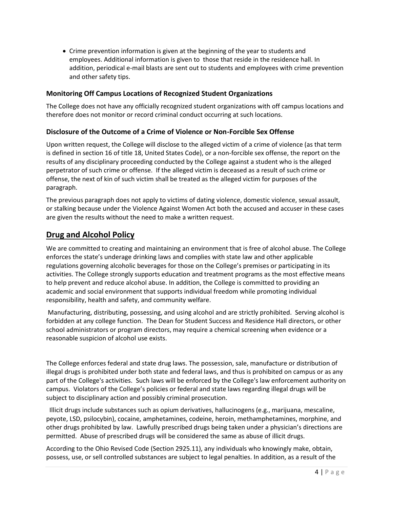Crime prevention information is given at the beginning of the year to students and employees. Additional information is given to those that reside in the residence hall. In addition, periodical e-mail blasts are sent out to students and employees with crime prevention and other safety tips.

## **Monitoring Off Campus Locations of Recognized Student Organizations**

The College does not have any officially recognized student organizations with off campus locations and therefore does not monitor or record criminal conduct occurring at such locations.

## **Disclosure of the Outcome of a Crime of Violence or Non-Forcible Sex Offense**

Upon written request, the College will disclose to the alleged victim of a crime of violence (as that term is defined in section 16 of title 18, United States Code), or a non-forcible sex offense, the report on the results of any disciplinary proceeding conducted by the College against a student who is the alleged perpetrator of such crime or offense. If the alleged victim is deceased as a result of such crime or offense, the next of kin of such victim shall be treated as the alleged victim for purposes of the paragraph.

The previous paragraph does not apply to victims of dating violence, domestic violence, sexual assault, or stalking because under the Violence Against Women Act both the accused and accuser in these cases are given the results without the need to make a written request.

## **Drug and Alcohol Policy**

We are committed to creating and maintaining an environment that is free of alcohol abuse. The College enforces the state's underage drinking laws and complies with state law and other applicable regulations governing alcoholic beverages for those on the College's premises or participating in its activities. The College strongly supports education and treatment programs as the most effective means to help prevent and reduce alcohol abuse. In addition, the College is committed to providing an academic and social environment that supports individual freedom while promoting individual responsibility, health and safety, and community welfare.

Manufacturing, distributing, possessing, and using alcohol and are strictly prohibited. Serving alcohol is forbidden at any college function. The Dean for Student Success and Residence Hall directors, or other school administrators or program directors, may require a chemical screening when evidence or a reasonable suspicion of alcohol use exists.

The College enforces federal and state drug laws. The possession, sale, manufacture or distribution of illegal drugs is prohibited under both state and federal laws, and thus is prohibited on campus or as any part of the College's activities. Such laws will be enforced by the College's law enforcement authority on campus. Violators of the College's policies or federal and state laws regarding illegal drugs will be subject to disciplinary action and possibly criminal prosecution.

Illicit drugs include substances such as opium derivatives, hallucinogens (e.g., marijuana, mescaline, peyote, LSD, psilocybin), cocaine, amphetamines, codeine, heroin, methamphetamines, morphine, and other drugs prohibited by law. Lawfully prescribed drugs being taken under a physician's directions are permitted. Abuse of prescribed drugs will be considered the same as abuse of illicit drugs.

According to the Ohio Revised Code (Section 2925.11), any individuals who knowingly make, obtain, possess, use, or sell controlled substances are subject to legal penalties. In addition, as a result of the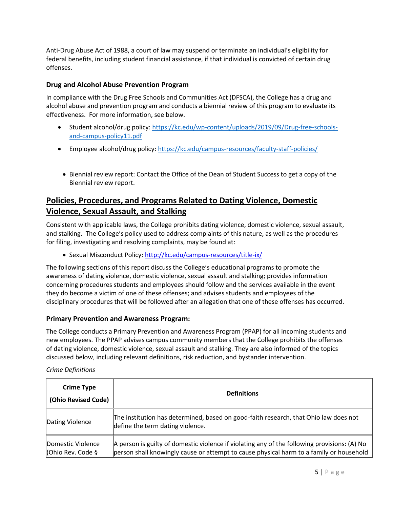Anti-Drug Abuse Act of 1988, a court of law may suspend or terminate an individual's eligibility for federal benefits, including student financial assistance, if that individual is convicted of certain drug offenses.

### **Drug and Alcohol Abuse Prevention Program**

In compliance with the Drug Free Schools and Communities Act (DFSCA), the College has a drug and alcohol abuse and prevention program and conducts a biennial review of this program to evaluate its effectiveness. For more information, see below.

- Student alcohol/drug policy: [https://kc.edu/wp-content/uploads/2019/09/Drug-free-schools](https://kc.edu/wp-content/uploads/2019/09/Drug-free-schools-and-campus-policy11.pdf)[and-campus-policy11.pdf](https://kc.edu/wp-content/uploads/2019/09/Drug-free-schools-and-campus-policy11.pdf)
- Employee alcohol/drug policy:<https://kc.edu/campus-resources/faculty-staff-policies/>
	- Biennial review report: Contact the Office of the Dean of Student Success to get a copy of the Biennial review report.

## **Policies, Procedures, and Programs Related to Dating Violence, Domestic Violence, Sexual Assault, and Stalking**

Consistent with applicable laws, the College prohibits dating violence, domestic violence, sexual assault, and stalking. The College's policy used to address complaints of this nature, as well as the procedures for filing, investigating and resolving complaints, may be found at:

Sexual Misconduct Policy:<http://kc.edu/campus-resources/title-ix/>

The following sections of this report discuss the College's educational programs to promote the awareness of dating violence, domestic violence, sexual assault and stalking; provides information concerning procedures students and employees should follow and the services available in the event they do become a victim of one of these offenses; and advises students and employees of the disciplinary procedures that will be followed after an allegation that one of these offenses has occurred.

#### **Primary Prevention and Awareness Program:**

The College conducts a Primary Prevention and Awareness Program (PPAP) for all incoming students and new employees. The PPAP advises campus community members that the College prohibits the offenses of dating violence, domestic violence, sexual assault and stalking. They are also informed of the topics discussed below, including relevant definitions, risk reduction, and bystander intervention.

#### *Crime Definitions*

| <b>Crime Type</b><br>(Ohio Revised Code) | <b>Definitions</b>                                                                                                                                                                      |
|------------------------------------------|-----------------------------------------------------------------------------------------------------------------------------------------------------------------------------------------|
| Dating Violence                          | The institution has determined, based on good-faith research, that Ohio law does not<br>define the term dating violence.                                                                |
| Domestic Violence<br>(Ohio Rev. Code §   | A person is guilty of domestic violence if violating any of the following provisions: (A) No<br>person shall knowingly cause or attempt to cause physical harm to a family or household |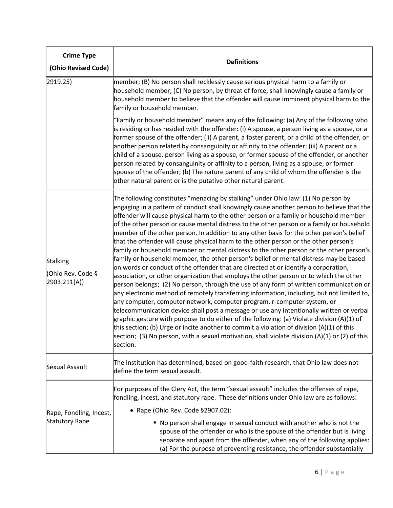| <b>Crime Type</b>                             | <b>Definitions</b>                                                                                                                                                                                                                                                                                                                                                                                                                                                                                                                                                                                                                                                                                                                                                                                                                                                                                                                                                                                                                                                                                                                                                                                                                                                                                                                                                                                                                                                                                                                                                                                    |  |  |  |  |  |  |  |
|-----------------------------------------------|-------------------------------------------------------------------------------------------------------------------------------------------------------------------------------------------------------------------------------------------------------------------------------------------------------------------------------------------------------------------------------------------------------------------------------------------------------------------------------------------------------------------------------------------------------------------------------------------------------------------------------------------------------------------------------------------------------------------------------------------------------------------------------------------------------------------------------------------------------------------------------------------------------------------------------------------------------------------------------------------------------------------------------------------------------------------------------------------------------------------------------------------------------------------------------------------------------------------------------------------------------------------------------------------------------------------------------------------------------------------------------------------------------------------------------------------------------------------------------------------------------------------------------------------------------------------------------------------------------|--|--|--|--|--|--|--|
| (Ohio Revised Code)                           |                                                                                                                                                                                                                                                                                                                                                                                                                                                                                                                                                                                                                                                                                                                                                                                                                                                                                                                                                                                                                                                                                                                                                                                                                                                                                                                                                                                                                                                                                                                                                                                                       |  |  |  |  |  |  |  |
| $ 2919.25\rangle$                             | member; (B) No person shall recklessly cause serious physical harm to a family or<br>household member; (C) No person, by threat of force, shall knowingly cause a family or<br>household member to believe that the offender will cause imminent physical harm to the<br>family or household member.                                                                                                                                                                                                                                                                                                                                                                                                                                                                                                                                                                                                                                                                                                                                                                                                                                                                                                                                                                                                                                                                                                                                                                                                                                                                                                  |  |  |  |  |  |  |  |
|                                               | "Family or household member" means any of the following: (a) Any of the following who<br>is residing or has resided with the offender: (i) A spouse, a person living as a spouse, or a<br>former spouse of the offender; (ii) A parent, a foster parent, or a child of the offender, or<br>another person related by consanguinity or affinity to the offender; (iii) A parent or a<br>child of a spouse, person living as a spouse, or former spouse of the offender, or another<br>person related by consanguinity or affinity to a person, living as a spouse, or former<br>spouse of the offender; (b) The nature parent of any child of whom the offender is the<br>other natural parent or is the putative other natural parent.                                                                                                                                                                                                                                                                                                                                                                                                                                                                                                                                                                                                                                                                                                                                                                                                                                                                |  |  |  |  |  |  |  |
| Stalking<br>(Ohio Rev. Code §<br> 2903.211(A) | The following constitutes "menacing by stalking" under Ohio law: (1) No person by<br>engaging in a pattern of conduct shall knowingly cause another person to believe that the<br>offender will cause physical harm to the other person or a family or household member<br>of the other person or cause mental distress to the other person or a family or household<br>member of the other person. In addition to any other basis for the other person's belief<br>that the offender will cause physical harm to the other person or the other person's<br>family or household member or mental distress to the other person or the other person's<br>family or household member, the other person's belief or mental distress may be based<br>on words or conduct of the offender that are directed at or identify a corporation,<br>association, or other organization that employs the other person or to which the other<br>person belongs; (2) No person, through the use of any form of written communication or<br>any electronic method of remotely transferring information, including, but not limited to,<br>any computer, computer network, computer program, r-computer system, or<br>telecommunication device shall post a message or use any intentionally written or verbal<br>graphic gesture with purpose to do either of the following: (a) Violate division (A)(1) of<br>this section; (b) Urge or incite another to commit a violation of division (A)(1) of this<br>section; (3) No person, with a sexual motivation, shall violate division (A)(1) or (2) of this<br>section. |  |  |  |  |  |  |  |
| Sexual Assault                                | The institution has determined, based on good-faith research, that Ohio law does not<br>define the term sexual assault.                                                                                                                                                                                                                                                                                                                                                                                                                                                                                                                                                                                                                                                                                                                                                                                                                                                                                                                                                                                                                                                                                                                                                                                                                                                                                                                                                                                                                                                                               |  |  |  |  |  |  |  |
|                                               | For purposes of the Clery Act, the term "sexual assault" includes the offenses of rape,<br>fondling, incest, and statutory rape. These definitions under Ohio law are as follows:                                                                                                                                                                                                                                                                                                                                                                                                                                                                                                                                                                                                                                                                                                                                                                                                                                                                                                                                                                                                                                                                                                                                                                                                                                                                                                                                                                                                                     |  |  |  |  |  |  |  |
| Rape, Fondling, Incest,                       | • Rape (Ohio Rev. Code §2907.02):                                                                                                                                                                                                                                                                                                                                                                                                                                                                                                                                                                                                                                                                                                                                                                                                                                                                                                                                                                                                                                                                                                                                                                                                                                                                                                                                                                                                                                                                                                                                                                     |  |  |  |  |  |  |  |
| Statutory Rape                                | ■ No person shall engage in sexual conduct with another who is not the<br>spouse of the offender or who is the spouse of the offender but is living<br>separate and apart from the offender, when any of the following applies:<br>(a) For the purpose of preventing resistance, the offender substantially                                                                                                                                                                                                                                                                                                                                                                                                                                                                                                                                                                                                                                                                                                                                                                                                                                                                                                                                                                                                                                                                                                                                                                                                                                                                                           |  |  |  |  |  |  |  |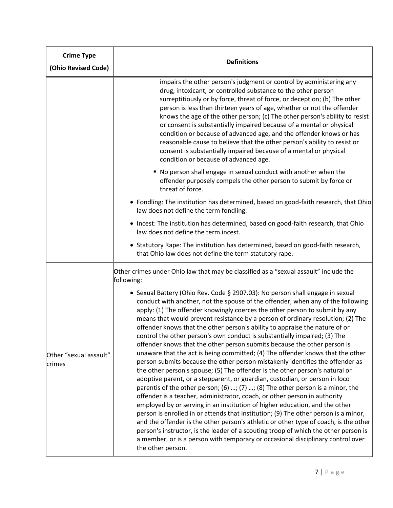| <b>Crime Type</b><br>(Ohio Revised Code) | <b>Definitions</b>                                                                                                                                                                                                                                                                                                                                                                                                                                                                                                                                                                                                                                                                                                                                                                                                                                                                                                                                                                                                                                                                                                                                                                                                                                                                                                                                                                                                                                                                                                                       |  |  |  |  |  |  |  |
|------------------------------------------|------------------------------------------------------------------------------------------------------------------------------------------------------------------------------------------------------------------------------------------------------------------------------------------------------------------------------------------------------------------------------------------------------------------------------------------------------------------------------------------------------------------------------------------------------------------------------------------------------------------------------------------------------------------------------------------------------------------------------------------------------------------------------------------------------------------------------------------------------------------------------------------------------------------------------------------------------------------------------------------------------------------------------------------------------------------------------------------------------------------------------------------------------------------------------------------------------------------------------------------------------------------------------------------------------------------------------------------------------------------------------------------------------------------------------------------------------------------------------------------------------------------------------------------|--|--|--|--|--|--|--|
|                                          | impairs the other person's judgment or control by administering any<br>drug, intoxicant, or controlled substance to the other person<br>surreptitiously or by force, threat of force, or deception; (b) The other<br>person is less than thirteen years of age, whether or not the offender<br>knows the age of the other person; (c) The other person's ability to resist<br>or consent is substantially impaired because of a mental or physical<br>condition or because of advanced age, and the offender knows or has<br>reasonable cause to believe that the other person's ability to resist or<br>consent is substantially impaired because of a mental or physical<br>condition or because of advanced age.                                                                                                                                                                                                                                                                                                                                                                                                                                                                                                                                                                                                                                                                                                                                                                                                                      |  |  |  |  |  |  |  |
|                                          | " No person shall engage in sexual conduct with another when the<br>offender purposely compels the other person to submit by force or<br>threat of force.                                                                                                                                                                                                                                                                                                                                                                                                                                                                                                                                                                                                                                                                                                                                                                                                                                                                                                                                                                                                                                                                                                                                                                                                                                                                                                                                                                                |  |  |  |  |  |  |  |
|                                          | • Fondling: The institution has determined, based on good-faith research, that Ohio<br>law does not define the term fondling.                                                                                                                                                                                                                                                                                                                                                                                                                                                                                                                                                                                                                                                                                                                                                                                                                                                                                                                                                                                                                                                                                                                                                                                                                                                                                                                                                                                                            |  |  |  |  |  |  |  |
|                                          | • Incest: The institution has determined, based on good-faith research, that Ohio<br>law does not define the term incest.                                                                                                                                                                                                                                                                                                                                                                                                                                                                                                                                                                                                                                                                                                                                                                                                                                                                                                                                                                                                                                                                                                                                                                                                                                                                                                                                                                                                                |  |  |  |  |  |  |  |
|                                          | • Statutory Rape: The institution has determined, based on good-faith research,<br>that Ohio law does not define the term statutory rape.                                                                                                                                                                                                                                                                                                                                                                                                                                                                                                                                                                                                                                                                                                                                                                                                                                                                                                                                                                                                                                                                                                                                                                                                                                                                                                                                                                                                |  |  |  |  |  |  |  |
|                                          | Other crimes under Ohio law that may be classified as a "sexual assault" include the<br>following:                                                                                                                                                                                                                                                                                                                                                                                                                                                                                                                                                                                                                                                                                                                                                                                                                                                                                                                                                                                                                                                                                                                                                                                                                                                                                                                                                                                                                                       |  |  |  |  |  |  |  |
| Other "sexual assault"<br>crimes         | • Sexual Battery (Ohio Rev. Code § 2907.03): No person shall engage in sexual<br>conduct with another, not the spouse of the offender, when any of the following<br>apply: (1) The offender knowingly coerces the other person to submit by any<br>means that would prevent resistance by a person of ordinary resolution; (2) The<br>offender knows that the other person's ability to appraise the nature of or<br>control the other person's own conduct is substantially impaired; (3) The<br>offender knows that the other person submits because the other person is<br>unaware that the act is being committed; (4) The offender knows that the other<br>person submits because the other person mistakenly identifies the offender as<br>the other person's spouse; (5) The offender is the other person's natural or<br>adoptive parent, or a stepparent, or guardian, custodian, or person in loco<br>parentis of the other person; (6) ; (7) ; (8) The other person is a minor, the<br>offender is a teacher, administrator, coach, or other person in authority<br>employed by or serving in an institution of higher education, and the other<br>person is enrolled in or attends that institution; (9) The other person is a minor,<br>and the offender is the other person's athletic or other type of coach, is the other<br>person's instructor, is the leader of a scouting troop of which the other person is<br>a member, or is a person with temporary or occasional disciplinary control over<br>the other person. |  |  |  |  |  |  |  |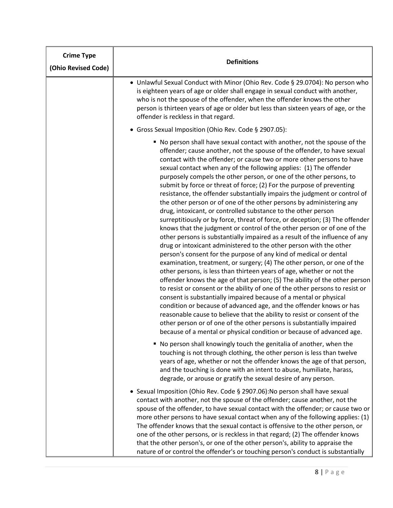| <b>Crime Type</b><br>(Ohio Revised Code) | <b>Definitions</b>                                                                                                                                                                                                                                                                                                                                                                                                                                                                                                                                                                                                                                                                                                                                                                                                                                                                                                                                                                                                                                                                                                                                                                                                                                                                                                                                                                                                                                                                                                                                                                                                                                                                                                                                         |
|------------------------------------------|------------------------------------------------------------------------------------------------------------------------------------------------------------------------------------------------------------------------------------------------------------------------------------------------------------------------------------------------------------------------------------------------------------------------------------------------------------------------------------------------------------------------------------------------------------------------------------------------------------------------------------------------------------------------------------------------------------------------------------------------------------------------------------------------------------------------------------------------------------------------------------------------------------------------------------------------------------------------------------------------------------------------------------------------------------------------------------------------------------------------------------------------------------------------------------------------------------------------------------------------------------------------------------------------------------------------------------------------------------------------------------------------------------------------------------------------------------------------------------------------------------------------------------------------------------------------------------------------------------------------------------------------------------------------------------------------------------------------------------------------------------|
|                                          | • Unlawful Sexual Conduct with Minor (Ohio Rev. Code § 29.0704): No person who<br>is eighteen years of age or older shall engage in sexual conduct with another,<br>who is not the spouse of the offender, when the offender knows the other<br>person is thirteen years of age or older but less than sixteen years of age, or the<br>offender is reckless in that regard.                                                                                                                                                                                                                                                                                                                                                                                                                                                                                                                                                                                                                                                                                                                                                                                                                                                                                                                                                                                                                                                                                                                                                                                                                                                                                                                                                                                |
|                                          | • Gross Sexual Imposition (Ohio Rev. Code § 2907.05):                                                                                                                                                                                                                                                                                                                                                                                                                                                                                                                                                                                                                                                                                                                                                                                                                                                                                                                                                                                                                                                                                                                                                                                                                                                                                                                                                                                                                                                                                                                                                                                                                                                                                                      |
|                                          | " No person shall have sexual contact with another, not the spouse of the<br>offender; cause another, not the spouse of the offender, to have sexual<br>contact with the offender; or cause two or more other persons to have<br>sexual contact when any of the following applies: (1) The offender<br>purposely compels the other person, or one of the other persons, to<br>submit by force or threat of force; (2) For the purpose of preventing<br>resistance, the offender substantially impairs the judgment or control of<br>the other person or of one of the other persons by administering any<br>drug, intoxicant, or controlled substance to the other person<br>surreptitiously or by force, threat of force, or deception; (3) The offender<br>knows that the judgment or control of the other person or of one of the<br>other persons is substantially impaired as a result of the influence of any<br>drug or intoxicant administered to the other person with the other<br>person's consent for the purpose of any kind of medical or dental<br>examination, treatment, or surgery; (4) The other person, or one of the<br>other persons, is less than thirteen years of age, whether or not the<br>offender knows the age of that person; (5) The ability of the other person<br>to resist or consent or the ability of one of the other persons to resist or<br>consent is substantially impaired because of a mental or physical<br>condition or because of advanced age, and the offender knows or has<br>reasonable cause to believe that the ability to resist or consent of the<br>other person or of one of the other persons is substantially impaired<br>because of a mental or physical condition or because of advanced age. |
|                                          | ■ No person shall knowingly touch the genitalia of another, when the<br>touching is not through clothing, the other person is less than twelve<br>years of age, whether or not the offender knows the age of that person,<br>and the touching is done with an intent to abuse, humiliate, harass,<br>degrade, or arouse or gratify the sexual desire of any person.                                                                                                                                                                                                                                                                                                                                                                                                                                                                                                                                                                                                                                                                                                                                                                                                                                                                                                                                                                                                                                                                                                                                                                                                                                                                                                                                                                                        |
|                                          | Sexual Imposition (Ohio Rev. Code § 2907.06): No person shall have sexual<br>contact with another, not the spouse of the offender; cause another, not the<br>spouse of the offender, to have sexual contact with the offender; or cause two or<br>more other persons to have sexual contact when any of the following applies: (1)<br>The offender knows that the sexual contact is offensive to the other person, or<br>one of the other persons, or is reckless in that regard; (2) The offender knows<br>that the other person's, or one of the other person's, ability to appraise the<br>nature of or control the offender's or touching person's conduct is substantially                                                                                                                                                                                                                                                                                                                                                                                                                                                                                                                                                                                                                                                                                                                                                                                                                                                                                                                                                                                                                                                                            |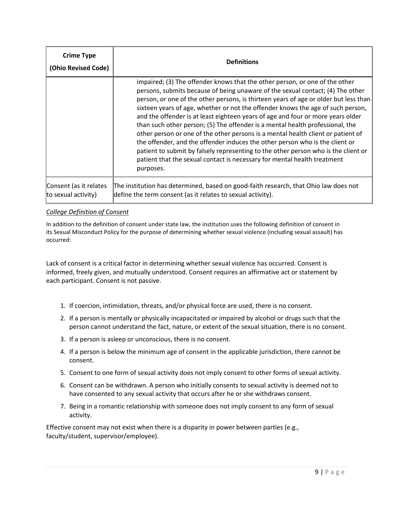| <b>Crime Type</b><br>(Ohio Revised Code)      | <b>Definitions</b>                                                                                                                                                                                                                                                                                                                                                                                                                                                                                                                                                                                                                                                                                                                                                                                                                                              |
|-----------------------------------------------|-----------------------------------------------------------------------------------------------------------------------------------------------------------------------------------------------------------------------------------------------------------------------------------------------------------------------------------------------------------------------------------------------------------------------------------------------------------------------------------------------------------------------------------------------------------------------------------------------------------------------------------------------------------------------------------------------------------------------------------------------------------------------------------------------------------------------------------------------------------------|
|                                               | impaired; (3) The offender knows that the other person, or one of the other<br>persons, submits because of being unaware of the sexual contact; (4) The other<br>person, or one of the other persons, is thirteen years of age or older but less than<br>sixteen years of age, whether or not the offender knows the age of such person,<br>and the offender is at least eighteen years of age and four or more years older<br>than such other person; (5) The offender is a mental health professional, the<br>other person or one of the other persons is a mental health client or patient of<br>the offender, and the offender induces the other person who is the client or<br>patient to submit by falsely representing to the other person who is the client or<br>patient that the sexual contact is necessary for mental health treatment<br>purposes. |
| Consent (as it relates<br>to sexual activity) | The institution has determined, based on good-faith research, that Ohio law does not<br>define the term consent (as it relates to sexual activity).                                                                                                                                                                                                                                                                                                                                                                                                                                                                                                                                                                                                                                                                                                             |

## *College Definition of Consent*

In addition to the definition of consent under state law, the institution uses the following definition of consent in its Sexual Misconduct Policy for the purpose of determining whether sexual violence (including sexual assault) has occurred:

Lack of consent is a critical factor in determining whether sexual violence has occurred. Consent is informed, freely given, and mutually understood. Consent requires an affirmative act or statement by each participant. Consent is not passive.

- 1. If coercion, intimidation, threats, and/or physical force are used, there is no consent.
- 2. If a person is mentally or physically incapacitated or impaired by alcohol or drugs such that the person cannot understand the fact, nature, or extent of the sexual situation, there is no consent.
- 3. If a person is asleep or unconscious, there is no consent.
- 4. If a person is below the minimum age of consent in the applicable jurisdiction, there cannot be consent.
- 5. Consent to one form of sexual activity does not imply consent to other forms of sexual activity.
- 6. Consent can be withdrawn. A person who initially consents to sexual activity is deemed not to have consented to any sexual activity that occurs after he or she withdraws consent.
- 7. Being in a romantic relationship with someone does not imply consent to any form of sexual activity.

Effective consent may not exist when there is a disparity in power between parties (e.g., faculty/student, supervisor/employee).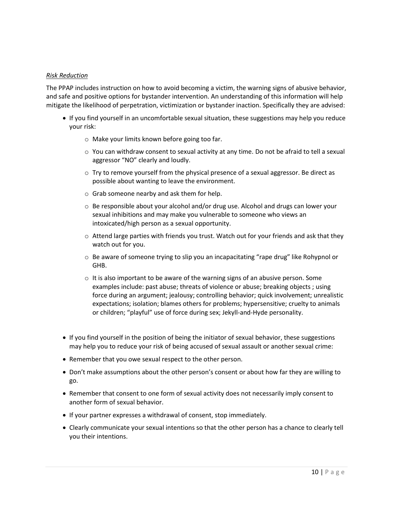#### *Risk Reduction*

The PPAP includes instruction on how to avoid becoming a victim, the warning signs of abusive behavior, and safe and positive options for bystander intervention. An understanding of this information will help mitigate the likelihood of perpetration, victimization or bystander inaction. Specifically they are advised:

- If you find yourself in an uncomfortable sexual situation, these suggestions may help you reduce your risk:
	- o Make your limits known before going too far.
	- o You can withdraw consent to sexual activity at any time. Do not be afraid to tell a sexual aggressor "NO" clearly and loudly.
	- $\circ$  Try to remove yourself from the physical presence of a sexual aggressor. Be direct as possible about wanting to leave the environment.
	- o Grab someone nearby and ask them for help.
	- $\circ$  Be responsible about your alcohol and/or drug use. Alcohol and drugs can lower your sexual inhibitions and may make you vulnerable to someone who views an intoxicated/high person as a sexual opportunity.
	- $\circ$  Attend large parties with friends you trust. Watch out for your friends and ask that they watch out for you.
	- o Be aware of someone trying to slip you an incapacitating "rape drug" like Rohypnol or GHB.
	- o It is also important to be aware of the warning signs of an abusive person. Some examples include: past abuse; threats of violence or abuse; breaking objects ; using force during an argument; jealousy; controlling behavior; quick involvement; unrealistic expectations; isolation; blames others for problems; hypersensitive; cruelty to animals or children; "playful" use of force during sex; Jekyll-and-Hyde personality.
- If you find yourself in the position of being the initiator of sexual behavior, these suggestions may help you to reduce your risk of being accused of sexual assault or another sexual crime:
- Remember that you owe sexual respect to the other person.
- Don't make assumptions about the other person's consent or about how far they are willing to go.
- Remember that consent to one form of sexual activity does not necessarily imply consent to another form of sexual behavior.
- If your partner expresses a withdrawal of consent, stop immediately.
- Clearly communicate your sexual intentions so that the other person has a chance to clearly tell you their intentions.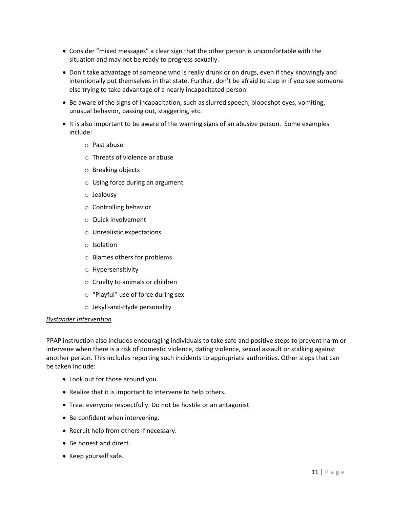- Consider "mixed messages" a clear sign that the other person is uncomfortable with the situation and may not be ready to progress sexually.
- Don't take advantage of someone who is really drunk or on drugs, even if they knowingly and intentionally put themselves in that state. Further, don't be afraid to step in if you see someone else trying to take advantage of a nearly incapacitated person.
- Be aware of the signs of incapacitation, such as slurred speech, bloodshot eyes, vomiting, unusual behavior, passing out, staggering, etc.
- It is also important to be aware of the warning signs of an abusive person. Some examples include:
	- o Past abuse
	- o Threats of violence or abuse
	- o Breaking objects
	- o Using force during an argument
	- o Jealousy
	- o Controlling behavior
	- o Quick involvement
	- o Unrealistic expectations
	- o Isolation
	- o Blames others for problems
	- o Hypersensitivity
	- o Cruelty to animals or children
	- o "Playful" use of force during sex
	- o Jekyll-and-Hyde personality

#### *Bystander Intervention*

PPAP instruction also includes encouraging individuals to take safe and positive steps to prevent harm or intervene when there is a risk of domestic violence, dating violence, sexual assault or stalking against another person. This includes reporting such incidents to appropriate authorities. Other steps that can be taken include:

- Look out for those around you.
- Realize that it is important to intervene to help others.
- Treat everyone respectfully. Do not be hostile or an antagonist.
- Be confident when intervening.
- Recruit help from others if necessary.
- Be honest and direct.
- Keep yourself safe.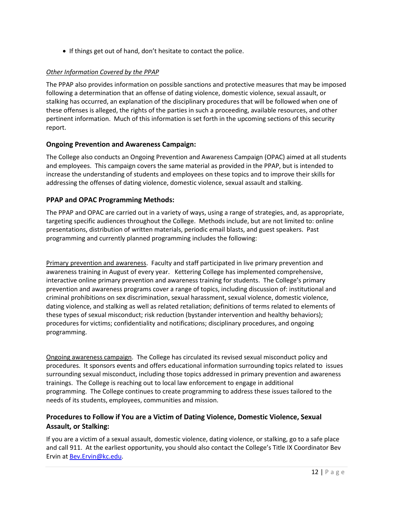• If things get out of hand, don't hesitate to contact the police.

## *Other Information Covered by the PPAP*

The PPAP also provides information on possible sanctions and protective measures that may be imposed following a determination that an offense of dating violence, domestic violence, sexual assault, or stalking has occurred, an explanation of the disciplinary procedures that will be followed when one of these offenses is alleged, the rights of the parties in such a proceeding, available resources, and other pertinent information. Much of this information is set forth in the upcoming sections of this security report.

### **Ongoing Prevention and Awareness Campaign:**

The College also conducts an Ongoing Prevention and Awareness Campaign (OPAC) aimed at all students and employees. This campaign covers the same material as provided in the PPAP, but is intended to increase the understanding of students and employees on these topics and to improve their skills for addressing the offenses of dating violence, domestic violence, sexual assault and stalking.

### **PPAP and OPAC Programming Methods:**

The PPAP and OPAC are carried out in a variety of ways, using a range of strategies, and, as appropriate, targeting specific audiences throughout the College. Methods include, but are not limited to: online presentations, distribution of written materials, periodic email blasts, and guest speakers. Past programming and currently planned programming includes the following:

Primary prevention and awareness. Faculty and staff participated in live primary prevention and awareness training in August of every year. Kettering College has implemented comprehensive, interactive online primary prevention and awareness training for students. The College's primary prevention and awareness programs cover a range of topics, including discussion of: institutional and criminal prohibitions on sex discrimination, sexual harassment, sexual violence, domestic violence, dating violence, and stalking as well as related retaliation; definitions of terms related to elements of these types of sexual misconduct; risk reduction (bystander intervention and healthy behaviors); procedures for victims; confidentiality and notifications; disciplinary procedures, and ongoing programming.

Ongoing awareness campaign. The College has circulated its revised sexual misconduct policy and procedures. It sponsors events and offers educational information surrounding topics related to issues surrounding sexual misconduct, including those topics addressed in primary prevention and awareness trainings. The College is reaching out to local law enforcement to engage in additional programming. The College continues to create programming to address these issues tailored to the needs of its students, employees, communities and mission.

## **Procedures to Follow if You are a Victim of Dating Violence, Domestic Violence, Sexual Assault, or Stalking:**

If you are a victim of a sexual assault, domestic violence, dating violence, or stalking, go to a safe place and call 911. At the earliest opportunity, you should also contact the College's Title IX Coordinator Bev Ervin a[t Bev.Ervin@kc.edu.](mailto:Bev.Ervin@kc.edu)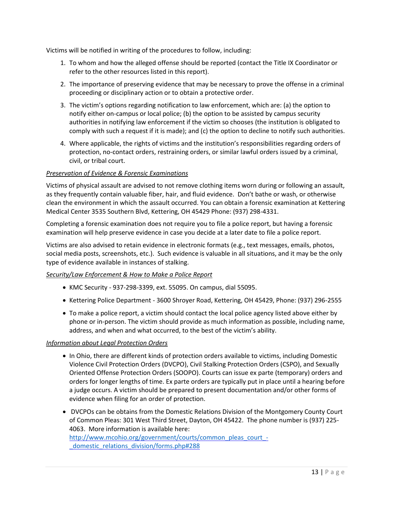Victims will be notified in writing of the procedures to follow, including:

- 1. To whom and how the alleged offense should be reported (contact the Title IX Coordinator or refer to the other resources listed in this report).
- 2. The importance of preserving evidence that may be necessary to prove the offense in a criminal proceeding or disciplinary action or to obtain a protective order.
- 3. The victim's options regarding notification to law enforcement, which are: (a) the option to notify either on-campus or local police; (b) the option to be assisted by campus security authorities in notifying law enforcement if the victim so chooses (the institution is obligated to comply with such a request if it is made); and (c) the option to decline to notify such authorities.
- 4. Where applicable, the rights of victims and the institution's responsibilities regarding orders of protection, no-contact orders, restraining orders, or similar lawful orders issued by a criminal, civil, or tribal court.

### *Preservation of Evidence & Forensic Examinations*

Victims of physical assault are advised to not remove clothing items worn during or following an assault, as they frequently contain valuable fiber, hair, and fluid evidence. Don't bathe or wash, or otherwise clean the environment in which the assault occurred. You can obtain a forensic examination at Kettering Medical Center 3535 Southern Blvd, Kettering, OH 45429 Phone: (937) 298-4331.

Completing a forensic examination does not require you to file a police report, but having a forensic examination will help preserve evidence in case you decide at a later date to file a police report.

Victims are also advised to retain evidence in electronic formats (e.g., text messages, emails, photos, social media posts, screenshots, etc.). Such evidence is valuable in all situations, and it may be the only type of evidence available in instances of stalking.

#### *Security/Law Enforcement & How to Make a Police Report*

- KMC Security 937-298-3399, ext. 55095. On campus, dial 55095.
- Kettering Police Department 3600 Shroyer Road, Kettering, OH 45429, Phone: (937) 296-2555
- To make a police report, a victim should contact the local police agency listed above either by phone or in-person. The victim should provide as much information as possible, including name, address, and when and what occurred, to the best of the victim's ability.

#### *Information about Legal Protection Orders*

- In Ohio, there are different kinds of protection orders available to victims, including Domestic Violence Civil Protection Orders (DVCPO), Civil Stalking Protection Orders (CSPO), and Sexually Oriented Offense Protection Orders (SOOPO). Courts can issue ex parte (temporary) orders and orders for longer lengths of time. Ex parte orders are typically put in place until a hearing before a judge occurs. A victim should be prepared to present documentation and/or other forms of evidence when filing for an order of protection.
- DVCPOs can be obtains from the Domestic Relations Division of the Montgomery County Court of Common Pleas: 301 West Third Street, Dayton, OH 45422. The phone number is (937) 225- 4063. More information is available here: [http://www.mcohio.org/government/courts/common\\_pleas\\_court\\_-](http://www.mcohio.org/government/courts/common_pleas_court_-_domestic_relations_division/forms.php#288)

[\\_domestic\\_relations\\_division/forms.php#288](http://www.mcohio.org/government/courts/common_pleas_court_-_domestic_relations_division/forms.php#288)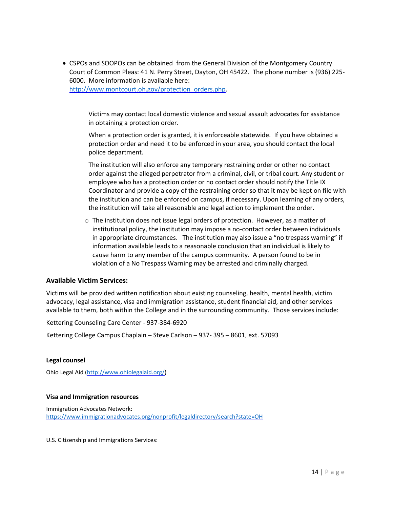CSPOs and SOOPOs can be obtained from the General Division of the Montgomery Country Court of Common Pleas: 41 N. Perry Street, Dayton, OH 45422. The phone number is (936) 225- 6000. More information is available here: [http://www.montcourt.oh.gov/protection\\_orders.php.](http://www.montcourt.oh.gov/protection_orders.php)

Victims may contact local domestic violence and sexual assault advocates for assistance

in obtaining a protection order.

When a protection order is granted, it is enforceable statewide. If you have obtained a protection order and need it to be enforced in your area, you should contact the local police department.

The institution will also enforce any temporary restraining order or other no contact order against the alleged perpetrator from a criminal, civil, or tribal court. Any student or employee who has a protection order or no contact order should notify the Title IX Coordinator and provide a copy of the restraining order so that it may be kept on file with the institution and can be enforced on campus, if necessary. Upon learning of any orders, the institution will take all reasonable and legal action to implement the order.

 $\circ$  The institution does not issue legal orders of protection. However, as a matter of institutional policy, the institution may impose a no-contact order between individuals in appropriate circumstances. The institution may also issue a "no trespass warning" if information available leads to a reasonable conclusion that an individual is likely to cause harm to any member of the campus community. A person found to be in violation of a No Trespass Warning may be arrested and criminally charged.

## **Available Victim Services:**

Victims will be provided written notification about existing counseling, health, mental health, victim advocacy, legal assistance, visa and immigration assistance, student financial aid, and other services available to them, both within the College and in the surrounding community. Those services include:

Kettering Counseling Care Center - 937-384-6920

Kettering College Campus Chaplain – Steve Carlson – 937- 395 – 8601, ext. 57093

## **Legal counsel**

Ohio Legal Aid [\(http://www.ohiolegalaid.org/\)](http://www.ohiolegalaid.org/)

#### **Visa and Immigration resources**

Immigration Advocates Network: <https://www.immigrationadvocates.org/nonprofit/legaldirectory/search?state=OH>

U.S. Citizenship and Immigrations Services: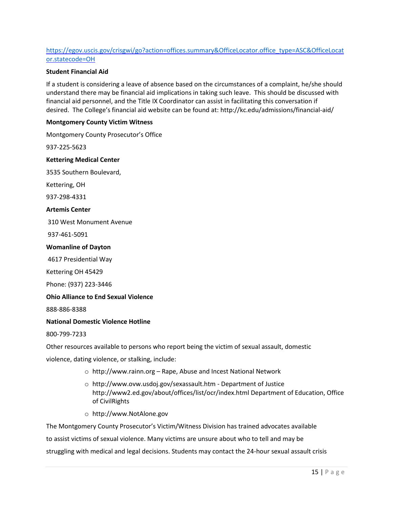### [https://egov.uscis.gov/crisgwi/go?action=offices.summary&OfficeLocator.office\\_type=ASC&OfficeLocat](https://egov.uscis.gov/crisgwi/go?action=offices.summary&OfficeLocator.office_type=ASC&OfficeLocator.statecode=OH) [or.statecode=OH](https://egov.uscis.gov/crisgwi/go?action=offices.summary&OfficeLocator.office_type=ASC&OfficeLocator.statecode=OH)

#### **Student Financial Aid**

If a student is considering a leave of absence based on the circumstances of a complaint, he/she should understand there may be financial aid implications in taking such leave. This should be discussed with financial aid personnel, and the Title IX Coordinator can assist in facilitating this conversation if desired. The College's financial aid website can be found at: http://kc.edu/admissions/financial-aid/

#### **Montgomery County Victim Witness**

Montgomery County Prosecutor's Office

937-225-5623

#### **Kettering Medical Center**

3535 Southern Boulevard,

Kettering, OH

937-298-4331

#### **Artemis Center**

310 West Monument Avenue

937-461-5091

#### **Womanline of Dayton**

4617 Presidential Way

Kettering OH 45429

Phone: (937) 223-3446

#### **Ohio Alliance to End Sexual Violence**

888-886-8388

#### **National Domestic Violence Hotline**

800-799-7233

Other resources available to persons who report being the victim of sexual assault, domestic

violence, dating violence, or stalking, include:

- o http://www.rainn.org Rape, Abuse and Incest National Network
- o http://www.ovw.usdoj.gov/sexassault.htm Department of Justice http://www2.ed.gov/about/offices/list/ocr/index.html Department of Education, Office of CivilRights
- o http://www.NotAlone.gov

The Montgomery County Prosecutor's Victim/Witness Division has trained advocates available to assist victims of sexual violence. Many victims are unsure about who to tell and may be struggling with medical and legal decisions. Students may contact the 24-hour sexual assault crisis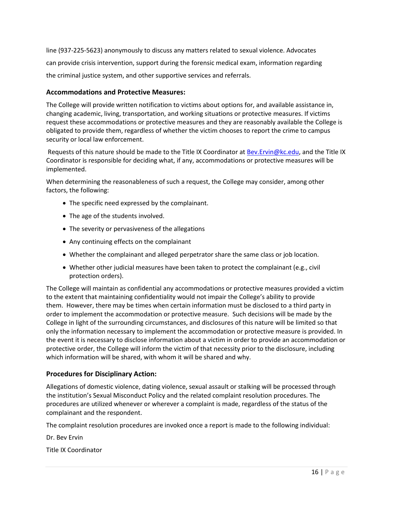line (937-225-5623) anonymously to discuss any matters related to sexual violence. Advocates can provide crisis intervention, support during the forensic medical exam, information regarding the criminal justice system, and other supportive services and referrals.

### **Accommodations and Protective Measures:**

The College will provide written notification to victims about options for, and available assistance in, changing academic, living, transportation, and working situations or protective measures. If victims request these accommodations or protective measures and they are reasonably available the College is obligated to provide them, regardless of whether the victim chooses to report the crime to campus security or local law enforcement.

Requests of this nature should be made to the Title IX Coordinator at [Bev.Ervin@kc.edu,](mailto:Bev.Ervin@kc.edu) and the Title IX Coordinator is responsible for deciding what, if any, accommodations or protective measures will be implemented.

When determining the reasonableness of such a request, the College may consider, among other factors, the following:

- The specific need expressed by the complainant.
- The age of the students involved.
- The severity or pervasiveness of the allegations
- Any continuing effects on the complainant
- Whether the complainant and alleged perpetrator share the same class or job location.
- Whether other judicial measures have been taken to protect the complainant (e.g., civil protection orders).

The College will maintain as confidential any accommodations or protective measures provided a victim to the extent that maintaining confidentiality would not impair the College's ability to provide them. However, there may be times when certain information must be disclosed to a third party in order to implement the accommodation or protective measure. Such decisions will be made by the College in light of the surrounding circumstances, and disclosures of this nature will be limited so that only the information necessary to implement the accommodation or protective measure is provided. In the event it is necessary to disclose information about a victim in order to provide an accommodation or protective order, the College will inform the victim of that necessity prior to the disclosure, including which information will be shared, with whom it will be shared and why.

## **Procedures for Disciplinary Action:**

Allegations of domestic violence, dating violence, sexual assault or stalking will be processed through the institution's Sexual Misconduct Policy and the related complaint resolution procedures. The procedures are utilized whenever or wherever a complaint is made, regardless of the status of the complainant and the respondent.

The complaint resolution procedures are invoked once a report is made to the following individual:

Dr. Bev Ervin

Title IX Coordinator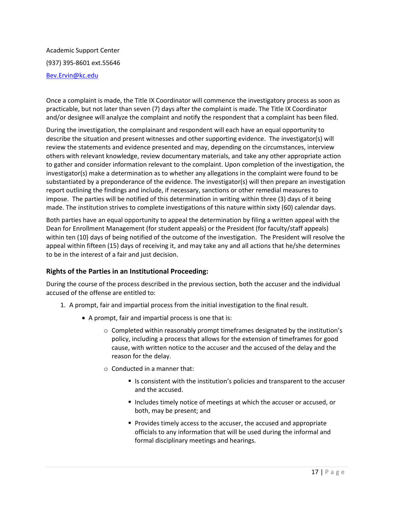Academic Support Center (937) 395-8601 ext.55646 [Bev.Ervin@kc.edu](mailto:Bev.Ervin@kc.edu) 

Once a complaint is made, the Title IX Coordinator will commence the investigatory process as soon as practicable, but not later than seven (7) days after the complaint is made. The Title IX Coordinator and/or designee will analyze the complaint and notify the respondent that a complaint has been filed.

During the investigation, the complainant and respondent will each have an equal opportunity to describe the situation and present witnesses and other supporting evidence. The investigator(s) will review the statements and evidence presented and may, depending on the circumstances, interview others with relevant knowledge, review documentary materials, and take any other appropriate action to gather and consider information relevant to the complaint. Upon completion of the investigation, the investigator(s) make a determination as to whether any allegations in the complaint were found to be substantiated by a preponderance of the evidence. The investigator(s) will then prepare an investigation report outlining the findings and include, if necessary, sanctions or other remedial measures to impose. The parties will be notified of this determination in writing within three (3) days of it being made. The institution strives to complete investigations of this nature within sixty (60) calendar days.

Both parties have an equal opportunity to appeal the determination by filing a written appeal with the Dean for Enrollment Management (for student appeals) or the President (for faculty/staff appeals) within ten (10) days of being notified of the outcome of the investigation. The President will resolve the appeal within fifteen (15) days of receiving it, and may take any and all actions that he/she determines to be in the interest of a fair and just decision.

## **Rights of the Parties in an Institutional Proceeding:**

During the course of the process described in the previous section, both the accuser and the individual accused of the offense are entitled to:

- 1. A prompt, fair and impartial process from the initial investigation to the final result.
	- A prompt, fair and impartial process is one that is:
		- $\circ$  Completed within reasonably prompt timeframes designated by the institution's policy, including a process that allows for the extension of timeframes for good cause, with written notice to the accuser and the accused of the delay and the reason for the delay.
		- $\circ$  Conducted in a manner that:
			- Is consistent with the institution's policies and transparent to the accuser and the accused.
			- Includes timely notice of meetings at which the accuser or accused, or both, may be present; and
			- **Provides timely access to the accuser, the accused and appropriate** officials to any information that will be used during the informal and formal disciplinary meetings and hearings.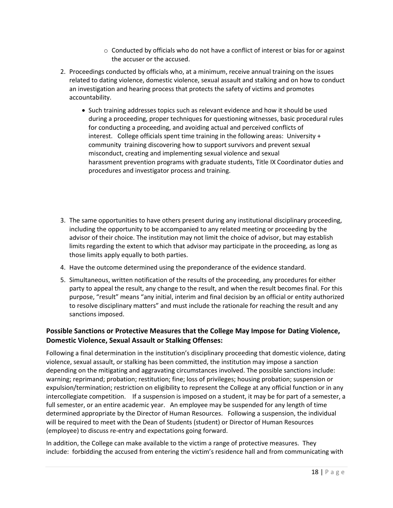- $\circ$  Conducted by officials who do not have a conflict of interest or bias for or against the accuser or the accused.
- 2. Proceedings conducted by officials who, at a minimum, receive annual training on the issues related to dating violence, domestic violence, sexual assault and stalking and on how to conduct an investigation and hearing process that protects the safety of victims and promotes accountability.
	- Such training addresses topics such as relevant evidence and how it should be used during a proceeding, proper techniques for questioning witnesses, basic procedural rules for conducting a proceeding, and avoiding actual and perceived conflicts of interest. College officials spent time training in the following areas: University + community training discovering how to support survivors and prevent sexual misconduct, creating and implementing sexual violence and sexual harassment prevention programs with graduate students, Title IX Coordinator duties and procedures and investigator process and training.
- 3. The same opportunities to have others present during any institutional disciplinary proceeding, including the opportunity to be accompanied to any related meeting or proceeding by the advisor of their choice. The institution may not limit the choice of advisor, but may establish limits regarding the extent to which that advisor may participate in the proceeding, as long as those limits apply equally to both parties.
- 4. Have the outcome determined using the preponderance of the evidence standard.
- 5. Simultaneous, written notification of the results of the proceeding, any procedures for either party to appeal the result, any change to the result, and when the result becomes final. For this purpose, "result" means "any initial, interim and final decision by an official or entity authorized to resolve disciplinary matters" and must include the rationale for reaching the result and any sanctions imposed.

## **Possible Sanctions or Protective Measures that the College May Impose for Dating Violence, Domestic Violence, Sexual Assault or Stalking Offenses:**

Following a final determination in the institution's disciplinary proceeding that domestic violence, dating violence, sexual assault, or stalking has been committed, the institution may impose a sanction depending on the mitigating and aggravating circumstances involved. The possible sanctions include: warning; reprimand; probation; restitution; fine; loss of privileges; housing probation; suspension or expulsion/termination; restriction on eligibility to represent the College at any official function or in any intercollegiate competition. If a suspension is imposed on a student, it may be for part of a semester, a full semester, or an entire academic year. An employee may be suspended for any length of time determined appropriate by the Director of Human Resources. Following a suspension, the individual will be required to meet with the Dean of Students (student) or Director of Human Resources (employee) to discuss re-entry and expectations going forward.

In addition, the College can make available to the victim a range of protective measures. They include: forbidding the accused from entering the victim's residence hall and from communicating with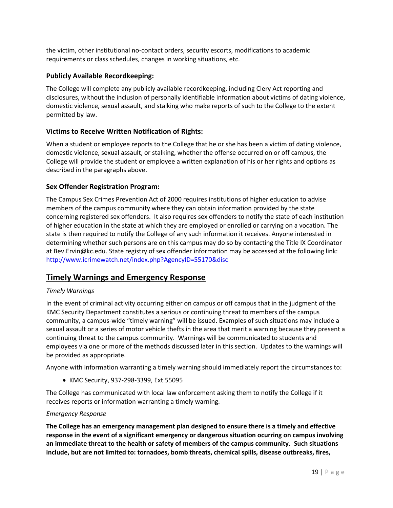the victim, other institutional no-contact orders, security escorts, modifications to academic requirements or class schedules, changes in working situations, etc.

## **Publicly Available Recordkeeping:**

The College will complete any publicly available recordkeeping, including Clery Act reporting and disclosures, without the inclusion of personally identifiable information about victims of dating violence, domestic violence, sexual assault, and stalking who make reports of such to the College to the extent permitted by law.

## **Victims to Receive Written Notification of Rights:**

When a student or employee reports to the College that he or she has been a victim of dating violence, domestic violence, sexual assault, or stalking, whether the offense occurred on or off campus, the College will provide the student or employee a written explanation of his or her rights and options as described in the paragraphs above.

### **Sex Offender Registration Program:**

The Campus Sex Crimes Prevention Act of 2000 requires institutions of higher education to advise members of the campus community where they can obtain information provided by the state concerning registered sex offenders. It also requires sex offenders to notify the state of each institution of higher education in the state at which they are employed or enrolled or carrying on a vocation. The state is then required to notify the College of any such information it receives. Anyone interested in determining whether such persons are on this campus may do so by contacting the Title IX Coordinator at Bev.Ervin@kc.edu. State registry of sex offender information may be accessed at the following link: <http://www.icrimewatch.net/index.php?AgencyID=55170&disc>

## **Timely Warnings and Emergency Response**

#### *Timely Warnings*

In the event of criminal activity occurring either on campus or off campus that in the judgment of the KMC Security Department constitutes a serious or continuing threat to members of the campus community, a campus-wide "timely warning" will be issued. Examples of such situations may include a sexual assault or a series of motor vehicle thefts in the area that merit a warning because they present a continuing threat to the campus community. Warnings will be communicated to students and employees via one or more of the methods discussed later in this section. Updates to the warnings will be provided as appropriate.

Anyone with information warranting a timely warning should immediately report the circumstances to:

KMC Security, 937-298-3399, Ext.55095

The College has communicated with local law enforcement asking them to notify the College if it receives reports or information warranting a timely warning.

#### *Emergency Response*

**The College has an emergency management plan designed to ensure there is a timely and effective response in the event of a significant emergency or dangerous situation ocurring on campus involving an immediate threat to the health or safety of members of the campus community. Such situations include, but are not limited to: tornadoes, bomb threats, chemical spills, disease outbreaks, fires,**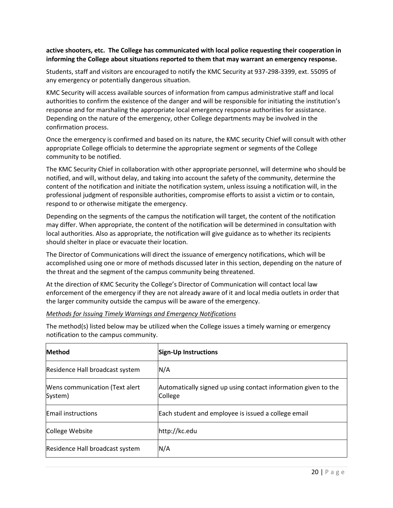### **active shooters, etc. The College has communicated with local police requesting their cooperation in informing the College about situations reported to them that may warrant an emergency response.**

Students, staff and visitors are encouraged to notify the KMC Security at 937-298-3399, ext. 55095 of any emergency or potentially dangerous situation.

KMC Security will access available sources of information from campus administrative staff and local authorities to confirm the existence of the danger and will be responsible for initiating the institution's response and for marshaling the appropriate local emergency response authorities for assistance. Depending on the nature of the emergency, other College departments may be involved in the confirmation process.

Once the emergency is confirmed and based on its nature, the KMC security Chief will consult with other appropriate College officials to determine the appropriate segment or segments of the College community to be notified.

The KMC Security Chief in collaboration with other appropriate personnel, will determine who should be notified, and will, without delay, and taking into account the safety of the community, determine the content of the notification and initiate the notification system, unless issuing a notification will, in the professional judgment of responsible authorities, compromise efforts to assist a victim or to contain, respond to or otherwise mitigate the emergency.

Depending on the segments of the campus the notification will target, the content of the notification may differ. When appropriate, the content of the notification will be determined in consultation with local authorities. Also as appropriate, the notification will give guidance as to whether its recipients should shelter in place or evacuate their location.

The Director of Communications will direct the issuance of emergency notifications, which will be accomplished using one or more of methods discussed later in this section, depending on the nature of the threat and the segment of the campus community being threatened.

At the direction of KMC Security the College's Director of Communication will contact local law enforcement of the emergency if they are not already aware of it and local media outlets in order that the larger community outside the campus will be aware of the emergency.

#### *Methods for Issuing Timely Warnings and Emergency Notifications*

The method(s) listed below may be utilized when the College issues a timely warning or emergency notification to the campus community.

| <b>Method</b>                             | Sign-Up Instructions                                                      |
|-------------------------------------------|---------------------------------------------------------------------------|
| Residence Hall broadcast system           | N/A                                                                       |
| Wens communication (Text alert<br>System) | Automatically signed up using contact information given to the<br>College |
| <b>Email instructions</b>                 | Each student and employee is issued a college email                       |
| College Website                           | http://kc.edu                                                             |
| Residence Hall broadcast system           | N/A                                                                       |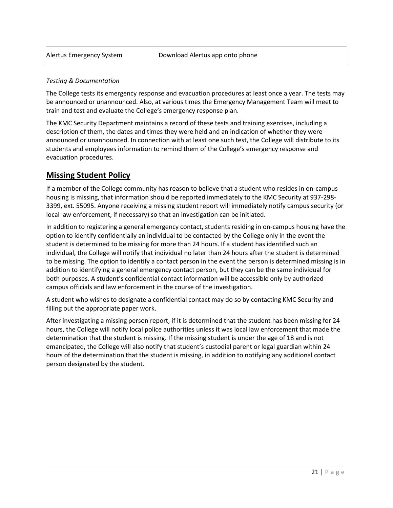| Alertus Emergency System | Download Alertus app onto phone |
|--------------------------|---------------------------------|
|                          |                                 |

### *Testing & Documentation*

The College tests its emergency response and evacuation procedures at least once a year. The tests may be announced or unannounced. Also, at various times the Emergency Management Team will meet to train and test and evaluate the College's emergency response plan.

The KMC Security Department maintains a record of these tests and training exercises, including a description of them, the dates and times they were held and an indication of whether they were announced or unannounced. In connection with at least one such test, the College will distribute to its students and employees information to remind them of the College's emergency response and evacuation procedures.

## **Missing Student Policy**

If a member of the College community has reason to believe that a student who resides in on-campus housing is missing, that information should be reported immediately to the KMC Security at 937-298- 3399, ext. 55095. Anyone receiving a missing student report will immediately notify campus security (or local law enforcement, if necessary) so that an investigation can be initiated.

In addition to registering a general emergency contact, students residing in on-campus housing have the option to identify confidentially an individual to be contacted by the College only in the event the student is determined to be missing for more than 24 hours. If a student has identified such an individual, the College will notify that individual no later than 24 hours after the student is determined to be missing. The option to identify a contact person in the event the person is determined missing is in addition to identifying a general emergency contact person, but they can be the same individual for both purposes. A student's confidential contact information will be accessible only by authorized campus officials and law enforcement in the course of the investigation.

A student who wishes to designate a confidential contact may do so by contacting KMC Security and filling out the appropriate paper work.

After investigating a missing person report, if it is determined that the student has been missing for 24 hours, the College will notify local police authorities unless it was local law enforcement that made the determination that the student is missing. If the missing student is under the age of 18 and is not emancipated, the College will also notify that student's custodial parent or legal guardian within 24 hours of the determination that the student is missing, in addition to notifying any additional contact person designated by the student.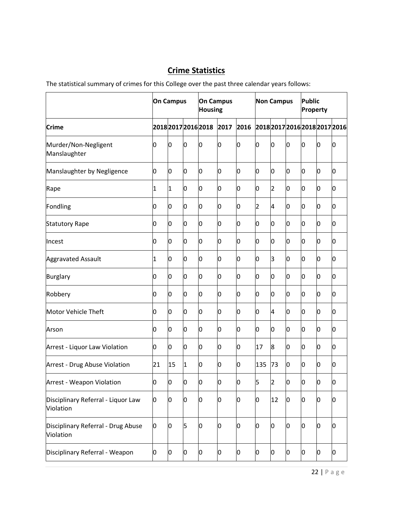## **Crime Statistics**

The statistical summary of crimes for this College over the past three calendar years follows:

|                                                 | <b>On Campus</b><br><b>On Campus</b><br><b>Housing</b> |    |   |                     | <b>Non Campus</b> |      |                | Public<br>Property |   |                |                |                               |
|-------------------------------------------------|--------------------------------------------------------|----|---|---------------------|-------------------|------|----------------|--------------------|---|----------------|----------------|-------------------------------|
| <b>Crime</b>                                    |                                                        |    |   | 2018 2017 2016 2018 | 2017              | 2016 |                |                    |   |                |                | 2018 2017 2016 2018 2017 2016 |
| Murder/Non-Negligent<br>Manslaughter            | 0                                                      | 0  | 0 | Ю                   | 0                 | Ю    | 0              | 0                  | 0 | 0              | 10             | 0                             |
| Manslaughter by Negligence                      | 0                                                      | 10 | 0 | Ю                   | 0                 | Ю    | 0              | 0                  | 0 | 0              | 10             | 0                             |
| Rape                                            | 1                                                      | 1  | 0 | Ю                   | 0                 | Ю    | Ю              | 2                  | 0 | 0              | 0              | n                             |
| Fondling                                        | 0                                                      | 0  | 0 | Ю                   | 0                 | Ю    | $\overline{c}$ | 4                  | 0 | 0              | Ю              | 0                             |
| <b>Statutory Rape</b>                           | 10                                                     | 0  | 0 | Ю                   | 0                 | Ю    | 0              | 0                  | 0 | 0              | 10             | 0                             |
| Incest                                          | 0                                                      | 0  | 0 | Ю                   | 0                 | 0    | Ю              | 0                  | 0 | O              | $\overline{0}$ | 0                             |
| <b>Aggravated Assault</b>                       | 1                                                      | 0  | 0 | 0                   | 0                 | 0    | Ю              | 3                  | 0 | O              | 10             | 0                             |
| <b>Burglary</b>                                 | 10                                                     | 0  | 0 | Ю                   | 0                 | Ю    | Ю              | 0                  | 0 | 0              | 0              | 0                             |
| Robbery<br>0                                    |                                                        | 10 | 0 | Ю                   | 0                 | Ю    | 10             | 0                  | 0 | 0              | 10             | 0                             |
| <b>Motor Vehicle Theft</b>                      | 0                                                      | Ю  | 0 | $\Omega$            | 0                 | n    | 0              | 4                  | 0 | 10             | 0              | n                             |
| Arson                                           | 0                                                      | 0  | 0 | Ю                   | 0                 | Ю    | 0              | 0                  | 0 | 0              | Ю              | 0                             |
| Arrest - Liquor Law Violation                   | Ю                                                      | 10 | 0 | Ю                   | 0                 | Ю    | 17             | 8                  | 0 | 0              | 0              | 0                             |
| Arrest - Drug Abuse Violation                   | 21                                                     | 15 | 1 | Ю                   | 0                 | 0    | 135            | 73                 | 0 | $\overline{0}$ | 10             | 0                             |
| Arrest - Weapon Violation                       | 0                                                      | 0  | 0 | O                   | 0                 | 0    | 5              | $\overline{2}$     | 0 | Ю              | $\overline{0}$ | Ю                             |
| Disciplinary Referral - Liquor Law<br>Violation | 0                                                      | 0  | 0 | Ю                   | 0                 | n    | 0              | 12                 | 0 | 0              | Ю              | 0                             |
| Disciplinary Referral - Drug Abuse<br>Violation | 0                                                      | 0  | 5 | 0                   | 0                 | 0    | 0              | 0                  | O | 0              | $\overline{0}$ | 0                             |
| Disciplinary Referral - Weapon                  | 0                                                      | 0  | 0 | 0                   | 0                 | 0    | 0              | 0                  | 0 | 0              | $\overline{0}$ | 0                             |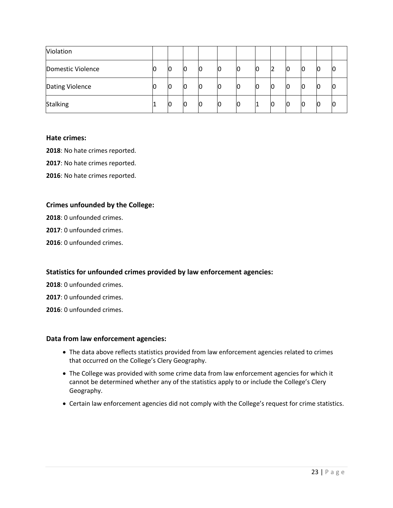| Violation         |   |                |    |    |    |    |    |   |   |  |
|-------------------|---|----------------|----|----|----|----|----|---|---|--|
| Domestic Violence | 0 | 10             | Ю  | 0  | 10 | 10 |    |   | Ю |  |
| Dating Violence   | Ю | $\overline{0}$ | Ю  | 10 | 10 | 10 | 10 | O | Ю |  |
| Stalking          |   | 10             | 10 | 10 | 10 |    | 10 |   | Ю |  |

#### **Hate crimes:**

**2018**: No hate crimes reported.

**2017**: No hate crimes reported.

**2016**: No hate crimes reported.

## **Crimes unfounded by the College:**

- **2018**: 0 unfounded crimes.
- **2017**: 0 unfounded crimes.
- **2016**: 0 unfounded crimes.

### **Statistics for unfounded crimes provided by law enforcement agencies:**

- **2018**: 0 unfounded crimes.
- **2017**: 0 unfounded crimes.
- **2016**: 0 unfounded crimes.

#### **Data from law enforcement agencies:**

- The data above reflects statistics provided from law enforcement agencies related to crimes that occurred on the College's Clery Geography.
- The College was provided with some crime data from law enforcement agencies for which it cannot be determined whether any of the statistics apply to or include the College's Clery Geography.
- Certain law enforcement agencies did not comply with the College's request for crime statistics.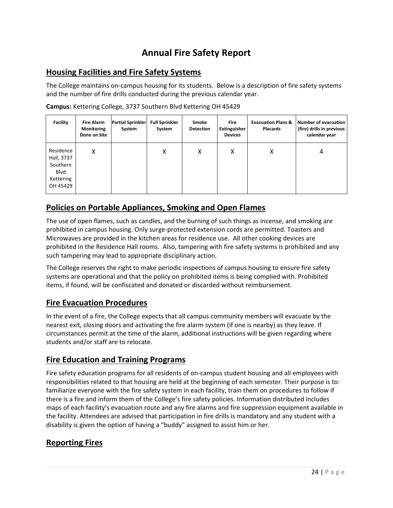# **Annual Fire Safety Report**

## **Housing Facilities and Fire Safety Systems**

The College maintains on-campus housing for its students. Below is a description of fire safety systems and the number of fire drills conducted during the previous calendar year.

| <b>Facility</b>                                                      | <b>Fire Alarm</b><br>Monitoring<br>Done on Site | <b>Partial Sprinkler</b><br>System | <b>Full Sprinkler</b><br>System | Smoke<br>Detection | <b>Fire</b><br>Extinguisher<br><b>Devices</b> | <b>Evacuation Plans &amp;</b><br><b>Placards</b> | Number of evacuation<br>(fire) drills in previous<br>calendar year |
|----------------------------------------------------------------------|-------------------------------------------------|------------------------------------|---------------------------------|--------------------|-----------------------------------------------|--------------------------------------------------|--------------------------------------------------------------------|
| Residence<br>Hall, 3737<br>Southern<br>Blvd<br>Kettering<br>OH 45429 | X                                               |                                    | x                               | x                  | x                                             | X                                                | 4                                                                  |

**Campus:** Kettering College, 3737 Southern Blvd Kettering OH 45429

## **Policies on Portable Appliances, Smoking and Open Flames**

The use of open flames, such as candles, and the burning of such things as incense, and smoking are prohibited in campus housing. Only surge-protected extension cords are permitted. Toasters and Microwaves are provided in the kitchen areas for residence use. All other cooking devices are prohibited in the Residence Hall rooms. Also, tampering with fire safety systems is prohibited and any such tampering may lead to appropriate disciplinary action.

The College reserves the right to make periodic inspections of campus housing to ensure fire safety systems are operational and that the policy on prohibited items is being complied with. Prohibited items, if found, will be confiscated and donated or discarded without reimbursement.

## **Fire Evacuation Procedures**

In the event of a fire, the College expects that all campus community members will evacuate by the nearest exit, closing doors and activating the fire alarm system (if one is nearby) as they leave. If circumstances permit at the time of the alarm, additional instructions will be given regarding where students and/or staff are to relocate.

## **Fire Education and Training Programs**

Fire safety education programs for all residents of on-campus student housing and all employees with responsibilities related to that housing are held at the beginning of each semester. Their purpose is to: familiarize everyone with the fire safety system in each facility, train them on procedures to follow if there is a fire and inform them of the College's fire safety policies. Information distributed includes maps of each facility's evacuation route and any fire alarms and fire suppression equipment available in the facility. Attendees are advised that participation in fire drills is mandatory and any student with a disability is given the option of having a "buddy" assigned to assist him or her.

## **Reporting Fires**